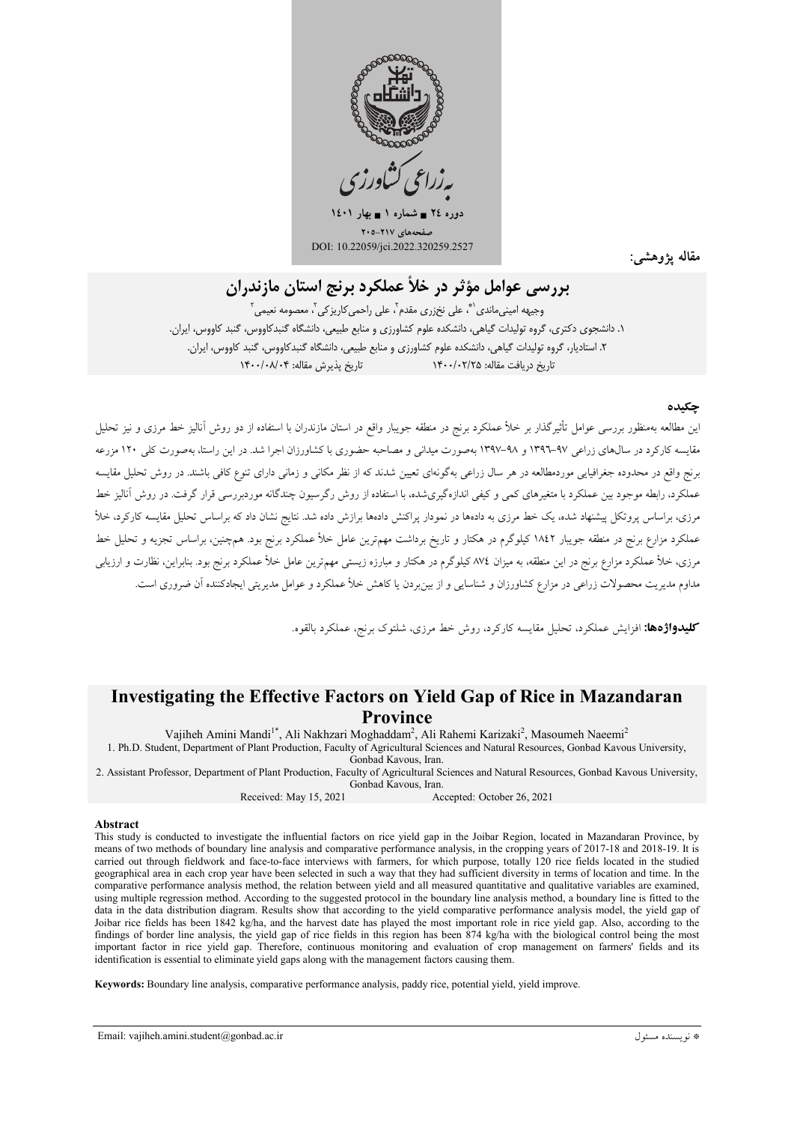

 $12 \cdot 1$  دوره ۲٤ = شماره ۱ = بهار ۱٤۰۱ مفحههای ۲۱۷–۲۰۵ DOI: 10.22059/jci.2022.320259.2527

مقاله يژوهشم

# پررسي عوامل مؤثر در خلأ عملكرد پرنج استان مازندران

وجیهه امینی،ماندی ٰ ؓ، علی نخ;ری مقدم ٰ، علی راحمی کاریز کی ٰ، معصومه نعیمی ٰ ۱. دانشجوی دکتری، گروه تولیدات گیاهی، دانشکده علوم کشاورزی و منابع طبیعی، دانشگاه گنبدکاووس، گنبد کاووس، ایران. ۲. استادیار، گروه تولیدات گیاهی، دانشکده علوم کشاورزی و منابع طبیعی، دانشگاه گنبدکاووس، گنبد کاووس، ایران. تاریخ بذیرش مقاله: ۱۴۰۰/۰۸/۰۴ تاریخ در بافت مقاله: ۱۴۰۰/۰۲/۲۵

#### حكيده

این مطالعه بهمنظور بررسی عوامل تأثیرگذار بر خلأ عملکرد برنج در منطقه جویبار واقع در استان مازندران با استفاده از دو روش آنالیز خط مرزی و نیز تحلیل مقایسه کارکرد در سالهای زراعی ۹۷-۱۳۹۲ و ۹۸-۱۳۹۷ بهصورت میدانی و مصاحبه حضوری با کشاورزان اجرا شد. در این راستا، بهصورت کلی ۱۲۰ مزرعه برنج واقع در محدوده جغرافیایی موردمطالعه در هر سال زراعی بهگونهای تعیین شدند که از نظر مکانی و زمانی دارای تنوع کافی باشند. در روش تحلیل مقایسه عملکرد، رابطه موجود بین عملکرد با متغیرهای کمی و کیفی اندازهگیریشده، با استفاده از روش رگرسیون چندگانه موردبررسی قرار گرفت. در روش آنالیز خط مرزی، براساس پروتکل پیشنهاد شده، یک خط مرزی به دادهها در نمودار پراکنش دادهها برازش داده شد. نتایج نشان داد که براساس تحلیل مقایسه کارکرد، خلأ عملکرد مزارع برنج در منطقه جویبار ۱۸٤۲ کیلوگرم در هکتار و تاریخ برداشت مهمترین عامل خلأ عملکرد برنج بود. همچنین، براساس تجزیه و تحلیل خط مرزی، خلأ عملکرد مزارع برنج در این منطقه، به میزان ۸۷٤ کیلوگرم در هکتار و مبارزه زیستی مهمترین عامل خلأ عملکرد برنج بود. بنابراین، نظارت و ارزیابی مداوم مدیریت محصولات زراعی در مزارع کشاورزان و شناسایی و از بین ردن یا کاهش خلأ عملکرد و عوامل مدیریتی ایجادکننده آن ضروری است.

**کلیدواژهها:** افزایش عملکرد، تحلیل مقایسه کارکرد، روش خط مرزی، شلتوک برنج، عملکرد بالقوه.

# **Investigating the Effective Factors on Yield Gap of Rice in Mazandaran Province**

Vajiheh Amini Mandi<sup>1\*</sup>, Ali Nakhzari Moghaddam<sup>2</sup>, Ali Rahemi Karizaki<sup>2</sup>, Masoumeh Naeemi<sup>2</sup>

1. Ph.D. Student, Department of Plant Production, Faculty of Agricultural Sciences and Natural Resources, Gonbad Kavous University, Gonbad Kavous, Iran.

2. Assistant Professor, Department of Plant Production, Faculty of Agricultural Sciences and Natural Resources, Gonbad Kavous University, Gonbad Kavous, Iran.

#### Received: May 15, 2021 Accepted: October 26, 2021

#### Abstract

This study is conducted to investigate the influential factors on rice yield gap in the Joibar Region, located in Mazandaran Province, by means of two methods of boundary line analysis and comparative performance analysis, in the cropping years of 2017-18 and 2018-19. It is carried out through fieldwork and face-to-face interviews with farmers, for which purpose, totally 120 rice fields located in the studied geographical area in each crop year have been selected in such a way that they had sufficient diversity in terms of location and time. In the comparative performance analysis method, the relation between yield and all measured quantitative and qualitative variables are examined, using multiple regression method. According to the suggested protocol in the boundary line analysis method, a boundary line is fitted to the data in the data distribution diagram. Results show that according to the yield comparative performance analysis model, the yield gap of Joibar rice fields has been 1842 kg/ha, and the harvest date has played the most important role in rice yield gap. Also, according to the findings of border line analysis, the yield gap of rice fields in this region has been 874 kg/ha with the biological control being the most important factor in rice yield gap. Therefore, continuous monitoring and evaluation of crop management on farmers' fields and its identification is essential to eliminate yield gaps along with the management factors causing them.

Keywords: Boundary line analysis, comparative performance analysis, paddy rice, potential yield, yield improve.

Email: vajiheh.amini.student@gonbad.ac.ir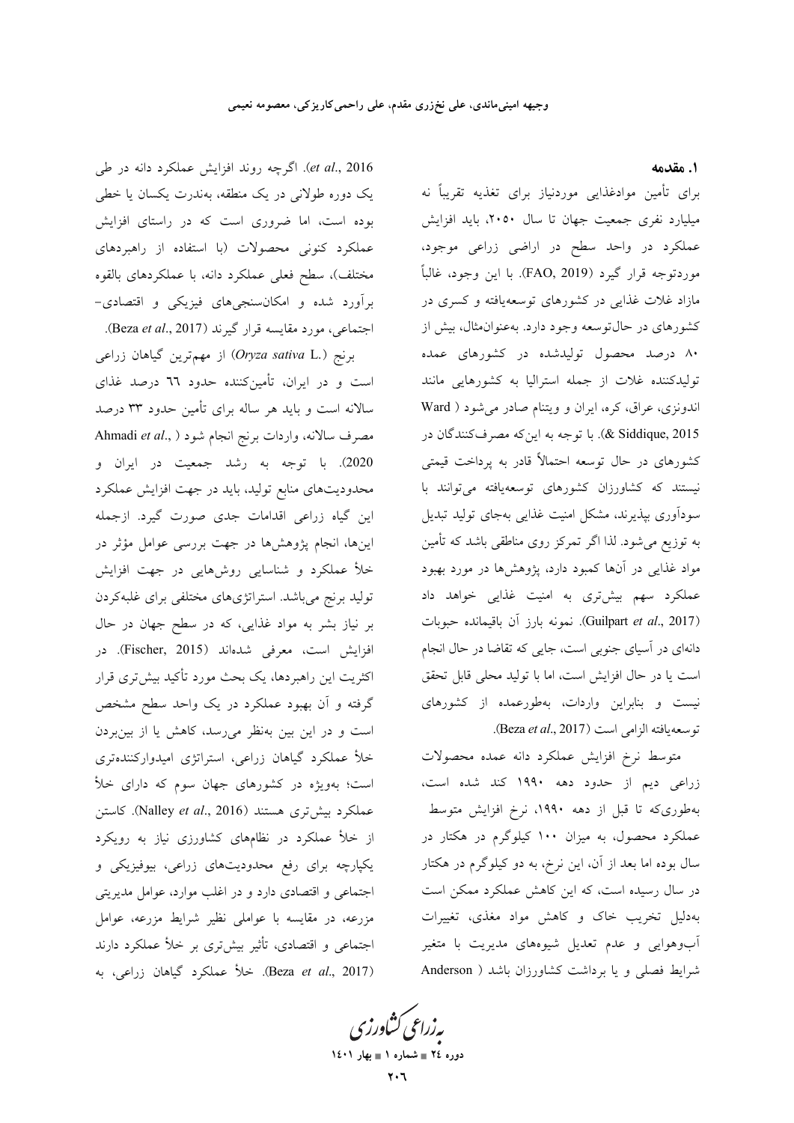et al., 2016). اگرچه روند افزایش عملکرد دانه در طی یک دوره طولانی در یک منطقه، بهندرت یکسان یا خطی بوده است، اما ضروری است که در راستای افزایش عملکرد کنونی محصولات (با استفاده از راهبردهای مختلف)، سطح فعلی عملکرد دانه، با عملکردهای بالقوه برآورد شده و امکان سنجیهای فیزیکی و اقتصادی-اجتماعی، مورد مقایسه قرار گیرند (Beza *et al.*, 2017).

از مهمترین گیاهان زراعی (Oryza sativa L.) است و در ایران، تأمینکننده حدود ٦٦ درصد غذای سالانه است و باید هر ساله برای تأمین حدود ۳۳ درصد Ahmadi et al., ) مصرف سالانه، واردات برنج انجام شود 2020). با توجه به رشد جمعیت در ایران و محدودیتهای منابع تولید، باید در جهت افزایش عملکرد این گیاه زراعی اقدامات جدی صورت گیرد. ازجمله اینها، انجام پژوهشها در جهت بررسی عوامل مؤثر در خلأ عملكرد و شناسايي روشهايي در جهت افزايش تولید برنج میباشد. استراتژیهای مختلفی برای غلبهکردن بر نیاز بشر به مواد غذایی، که در سطح جهان در حال افزايش است، معرفي شدهاند (Fischer, 2015). در اکثریت این راهبردها، یک بحث مورد تأکید بیشتری قرار گرفته و آن بهبود عملکرد در یک واحد سطح مشخص است و در این بین بهنظر میرسد، کاهش یا از بینبردن خلأ عملكرد گیاهان زراعی، استراتژی امیدواركنندهتری است؛ بهویژه در کشورهای جهان سوم که دارای خلأ عملكرد بيشترى هستند (Nalley et al., 2016). كاستن از خلأ عملكرد در نظامهاى كشاورزى نياز به رويكرد یکپارچه برای رفع محدودیتهای زراعی، بیوفیزیکی و اجتماعی و اقتصادی دارد و در اغلب موارد، عوامل مدیریتی مزرعه، در مقایسه با عواملی نظیر شرایط مزرعه، عوامل اجتماعی و اقتصادی، تأثیر بیشتری بر خلأ عملکرد دارند (Beza et al., 2017). خلأ عملكرد گياهان زراعي، به

1. مقدمه

برای تأمین موادغذایی موردنیاز برای تغذیه تقریباً نه میلیارد نفری جمعیت جهان تا سال ۲۰۵۰، باید افزایش عملکرد در واحد سطح در اراضی زراعی موجود، موردتوجه قرار گيرد (FAO, 2019). با اين وجود، غالباً مازاد غلات غذایی در کشورهای توسعهیافته و کسری در کشورهای در حال توسعه وجود دارد. بهعنوان مثال، بیش از ۸۰ درصد محصول تولیدشده در کشورهای عمده تولیدکننده غلات از جمله استرالیا به کشورهایی مانند اندونزی، عراق، کره، ایران و ویتنام صادر میشود ( Ward 8 Siddique, 2015). با توجه به این که مصرف کنندگان در کشورهای در حال توسعه احتمالاً قادر به پرداخت قیمتی نیستند که کشاورزان کشورهای توسعهیافته می<mark>توانند با</mark> سودآوری بپذیرند، مشکل امنیت غذایی بهجای تولید تبدیل به توزیع میشود. لذا اگر تمرکز روی مناطقی باشد که تأمین مواد غذایی در آنها کمبود دارد، پژوهشها در مورد بهبود عملکرد سهم بیشتری به امنیت غذایی خواهد داد (Guilpart et al., 2017). نمونه بارز آن باقیمانده حبوبات دانهای در آسیای جنوبی است، جایی که تقاضا در حال انجام است یا در حال افزایش است، اما با تولید محلی قابل تحقق نیست و بنابراین واردات، بهطورعمده از کشورهای توسعه يافته الزامى است (Beza et al., 2017).

متوسط نرخ افزايش عملكرد دانه عمده محصولات زراعی دیم از حدود دهه ۱۹۹۰ کند شده است، بهطوریکه تا قبل از دهه ۱۹۹۰، نرخ افزایش متوسط عملکرد محصول، به میزان ۱۰۰ کیلوگرم در هکتار در سال بوده اما بعد از آن، این نرخ، به دو کیلوگرم در هکتار در سال رسیده است، که این کاهش عملکرد ممکن است بهدلیل تخریب خاک و کاهش مواد مغذی، تغییرات آبوهوایی و عدم تعدیل شیوههای مدیریت با متغیر شرايط فصلي و يا برداشت كشاورزان باشد ( Anderson

بەزراعى ڭشاورزى دوره ٢٤ = شماره ١ = بهار ١٤٠١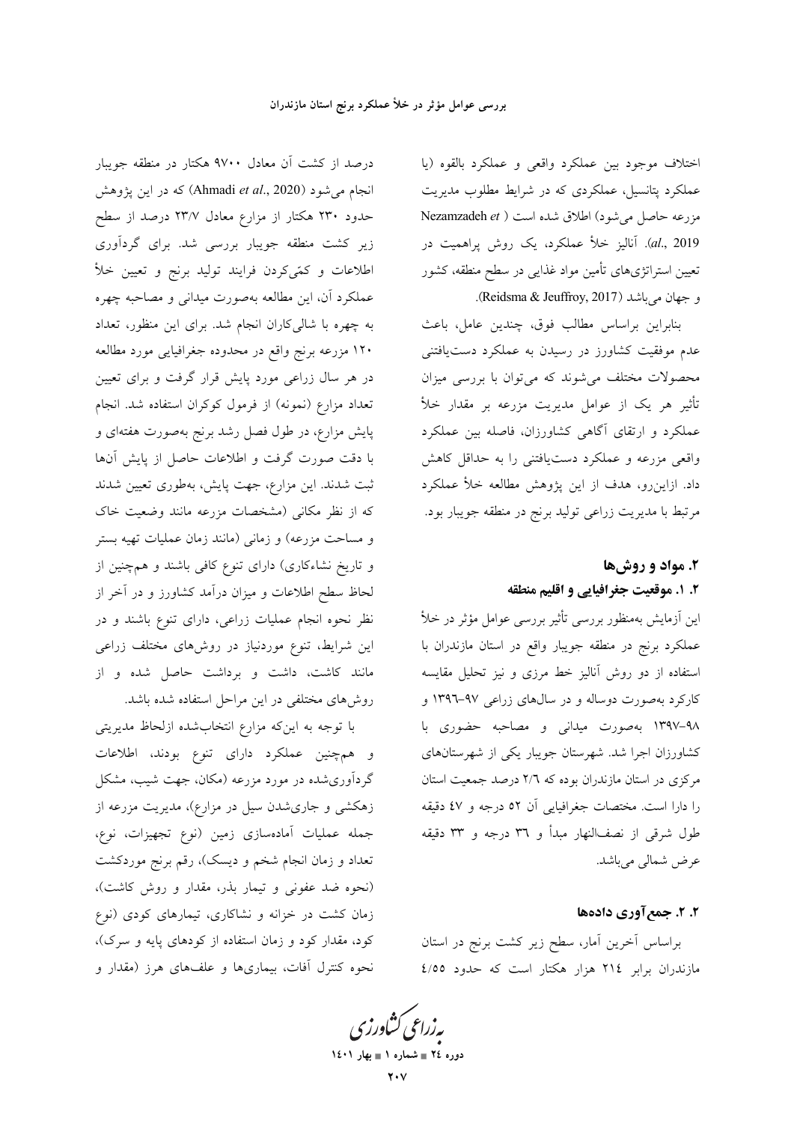درصد از کشت آن معادل ۹۷۰۰ هکتار در منطقه جویبار انجام می شود (Ahmadi *et al.*, 2020) که در این پژوهش حدود ۲۳۰ هکتار از مزارع معادل ۲۳/۷ درصد از سطح زیر کشت منطقه جویبار بررسی شد. برای گردآوری اطلاعات و کمّیکردن فرایند تولید برنج و تعیین خلأ عملکرد آن، این مطالعه بهصورت میدانی و مصاحبه چهره به چهره با شالی کاران انجام شد. برای این منظور، تعداد ۱۲۰ مزرعه برنج واقع در محدوده جغرافیایی مورد مطالعه در هر سال زراعی مورد پایش قرار گرفت و برای تعیین تعداد مزارع (نمونه) از فرمول کوکران استفاده شد. انجام پایش مزارع، در طول فصل رشد برنج بهصورت هفتهای و با دقت صورت گرفت و اطلاعات حاصل از پایش آنها ثبت شدند. این مزارع، جهت پایش، بهطوری تعیین شدند که از نظر مکانی (مشخصات مزرعه مانند وضعیت خاک و مساحت مزرعه) و زمانی (مانند زمان عملیات تهیه بستر و تاریخ نشاءکاری) دارای تنوع کافی باشند و همچنین از لحاظ سطح اطلاعات و میزان درآمد کشاورز و در آخر از نظر نحوه انجام عملیات زراعی، دارای تنوع باشند و در این شرایط، تنوع موردنیاز در روشهای مختلف زراعی مانند کاشت، داشت و برداشت حاصل شده و از روشهای مختلفی در این مراحل استفاده شده باشد.

با توجه به اینکه مزارع انتخابشده ازلحاظ مدیریتی و همچنین عملکرد دارای تنوع بودند، اطلاعات گردآوریشده در مورد مزرعه (مکان، جهت شیب، مشکل زهکشی و جاریشدن سیل در مزارع)، مدیریت مزرعه از جمله عملیات آمادهسازی زمین (نوع تجهیزات، نوع، تعداد و زمان انجام شخم و دیسک)، رقم برنج موردکشت (نحوه ضد عفونی و تیمار بذر، مقدار و روش کاشت)، زمان کشت در خزانه و نشاکاری، تیمارهای کودی (نوع کود، مقدار کود و زمان استفاده از کودهای پایه و سرک)، نحوه کنترل آفات، بیماریها و علفهای هرز (مقدار و

اختلاف موجود بين عملكرد واقعى و عملكرد بالقوه (يا عملکرد پتانسیل، عملکردی که در شرایط مطلوب مدیریت مزرعه حاصل می شود) اطلاق شده است ( Nezamzadeh et al., 2019). آنالیز خلأ عملکرد، یک روش پراهمیت در تعیین استراتژیهای تأمین مواد غذایی در سطح منطقه، کشور و جهان مي باشد (Reidsma & Jeuffroy, 2017).

بنابراين براساس مطالب فوق، چندين عامل، باعث عدم موفقیت کشاورز در رسیدن به عملکرد دستیافتنی محصولات مختلف میشوند که میتوان با بررسی میزان تأثیر هر یک از عوامل مدیریت مزرعه بر مقدار خلأ عملکرد و ارتقای آگاهی کشاورزان، فاصله بین عملکرد واقعی مزرعه و عملکرد دستیافتنی را به حداقل کاهش داد. ازاینِ رو، هدف از این پژوهش مطالعه خلأ عملکرد مرتبط با مدیریت زراعی تولید برنج در منطقه جویبار بود.

# ۲. مواد و روشها ٢. ١. موقعيت جغرافيايي و اقليم منطقه

این آزمایش بهمنظور بررسی تأثیر بررسی عوامل مؤثر در خلأ عملکرد برنج در منطقه جویبار واقع در استان مازندران با استفاده از دو روش آنالیز خط مرزی و نیز تحلیل مقایسه کارکرد بهصورت دوساله و در سالهای زراعی ۹۷-۱۳۹۳ و ۹۸–۱۳۹۷ بهصورت میدانی و مصاحبه حضوری با کشاورزان اجرا شد. شهرستان جویبار یکی از شهرستانهای مرکزی در استان مازندران بوده که ۲/٦ درصد جمعیت استان را دارا است. مختصات جغرافیایی آن ٥٢ درجه و ٤٧ دقیقه طول شرقی از نصفالنهار مبدأ و ٣٦ درجه و ٣٣ دقیقه عرض شمالي ميباشد.

## ۲. ۲. جمع آوري دادهها

براساس آخرین آمار، سطح زیر کشت برنج در استان مازندران برابر ٢١٤ هزار هكتار است كه حدود ٤/٥٥

**یه زراعی کشاورز** دوره ٢٤ = شماره ١ = بهار ١٤٠١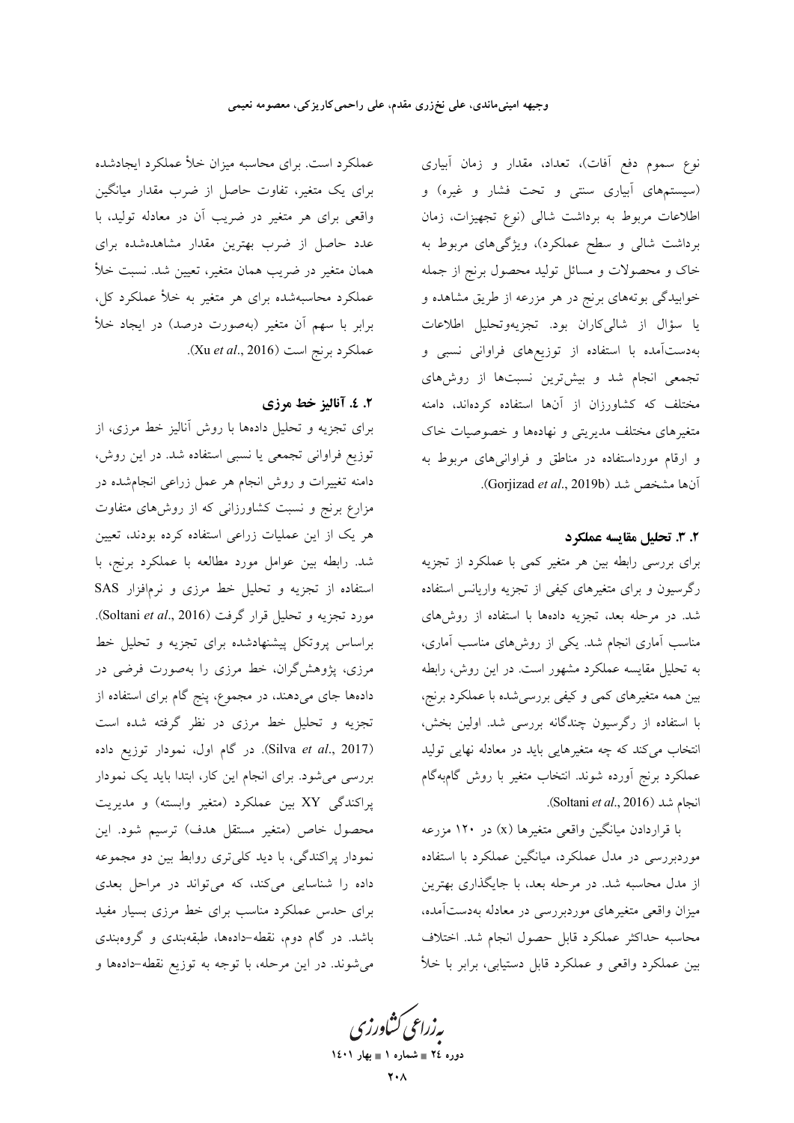عملکرد است. برای محاسبه میزان خلأ عملکرد ایجادشده برای یک متغیر، تفاوت حاصل از ضرب مقدار میانگین واقعی برای هر متغیر در ضریب آن در معادله تولید، با عدد حاصل از ضرب بهترین مقدار مشاهدهشده برای همان متغیر در ضریب همان متغیر، تعیین شد. نسبت خلأ عملکرد محاسبهشده برای هر متغیر به خلأ عملکرد کل، برابر با سهم آن متغیر (بهصورت درصد) در ایجاد خلأ عملكرد برنج است (Xu et al., 2016).

## ٢. ٤. آناليز خط مرزي

برای تجزیه و تحلیل دادهها با روش آنالیز خط مرزی، از توزیع فراوانی تجمعی یا نسبی استفاده شد. در این روش، دامنه تغییرات و روش انجام هر عمل زراعی انجامشده در مزارع برنج و نسبت کشاورزانی که از روشهای متفاوت هر یک از این عملیات زراعی استفاده کرده بودند، تعیین شد. رابطه بین عوامل مورد مطالعه با عملکرد برنج، با استفاده از تجزیه و تحلیل خط مرزی و نرمافزار SAS مورد تجزیه و تحلیل قرار گرفت (Soltani et al., 2016). براساس پروتکل پیشنهادشده برای تجزیه و تحلیل خط مرزی، پژوهشگران، خط مرزی را بهصورت فرضی در دادهها جای میدهند، در مجموع، پنج گام برای استفاده از تجزیه و تحلیل خط مرزی در نظر گرفته شده است (Silva et al., 2017). در گام اول، نمودار توزیع داده بررسی می شود. برای انجام این کار، ابتدا باید یک نمودار پراکندگی XY بین عملکرد (متغیر وابسته) و مدیریت محصول خاص (متغیر مستقل هدف) ترسیم شود. این .<br>نمودار پراکندگی، با دید کل<sub>ی</sub>تری روابط بین دو مجموعه داده را شناسایی میکند، که می تواند در مراحل بعدی برای حدس عملکرد مناسب برای خط مرزی بسیار مفید باشد. در گام دوم، نقطه-دادهها، طبقهبندی و گروهبندی می شوند. در این مرحله، با توجه به توزیع نقطه-دادهها و

نوع سموم دفع أفات)، تعداد، مقدار و زمان أبياري (سیستمهای آبیاری سنتی و تحت فشار و غیره) و اطلاعات مربوط به برداشت شالی (نوع تجهیزات، زمان برداشت شالی و سطح عملکرد)، ویژگیهای مربوط به خاک و محصولات و مسائل تولید محصول برنج از جمله خوابیدگی بوتههای برنج در هر مزرعه از طریق مشاهده و يا سؤال از شالي كاران بود. تجزيهوتحليل اطلاعات بهدستآمده با استفاده از توزیعهای فراوانی نسبی و تجمعی انجام شد و بیشترین نسبتها از روشهای مختلف که کشاورزان از آنها استفاده کردهاند، دامنه متغیرهای مختلف مدیریتی و نهادهها و خصوصیات خاک و ارقام مورداستفاده در مناطق و فراوانی های مربوط به آنها مشخص شد (Gorjizad et al., 2019b).

## ٢. ٣. تحليل مقايسه عملكرد

برای بررسی رابطه بین هر متغیر کمی با عملکرد از تجزیه رگرسیون و برای متغیرهای کیفی از تجزیه واریانس استفاده شد. در مرحله بعد، تجزیه دادهها با استفاده از روشهای مناسب آماری انجام شد. یکی از روش۵ای مناسب آماری، به تحلیل مقایسه عملکرد مشهور است. در این روش، رابطه بین همه متغیرهای کمی و کیفی بررسیشده با عملکرد برنج، با استفاده از رگرسیون چندگانه بررسی شد. اولین بخش، انتخاب میکند که چه متغیرهایی باید در معادله نهایی تولید عملکرد برنج آورده شوند. انتخاب متغیر با روش گامبهگام انجام شد (Soltani et al., 2016).

با قراردادن میانگین واقعی متغیرها (x) در ۱۲۰ مزرعه موردبررسی در مدل عملکرد، میانگین عملکرد با استفاده از مدل محاسبه شد. در مرحله بعد، با جایگذاری بهترین میزان واقعی متغیرهای موردبررسی در معادله بهدستآمده، محاسبه حداكثر عملكرد قابل حصول انجام شد اختلاف بین عملکرد واقعی و عملکرد قابل دستیابی، برابر با خلأ

بەزراعى كشاورز دوره ٢٤ = شماره ١ = بهار ١٤٠١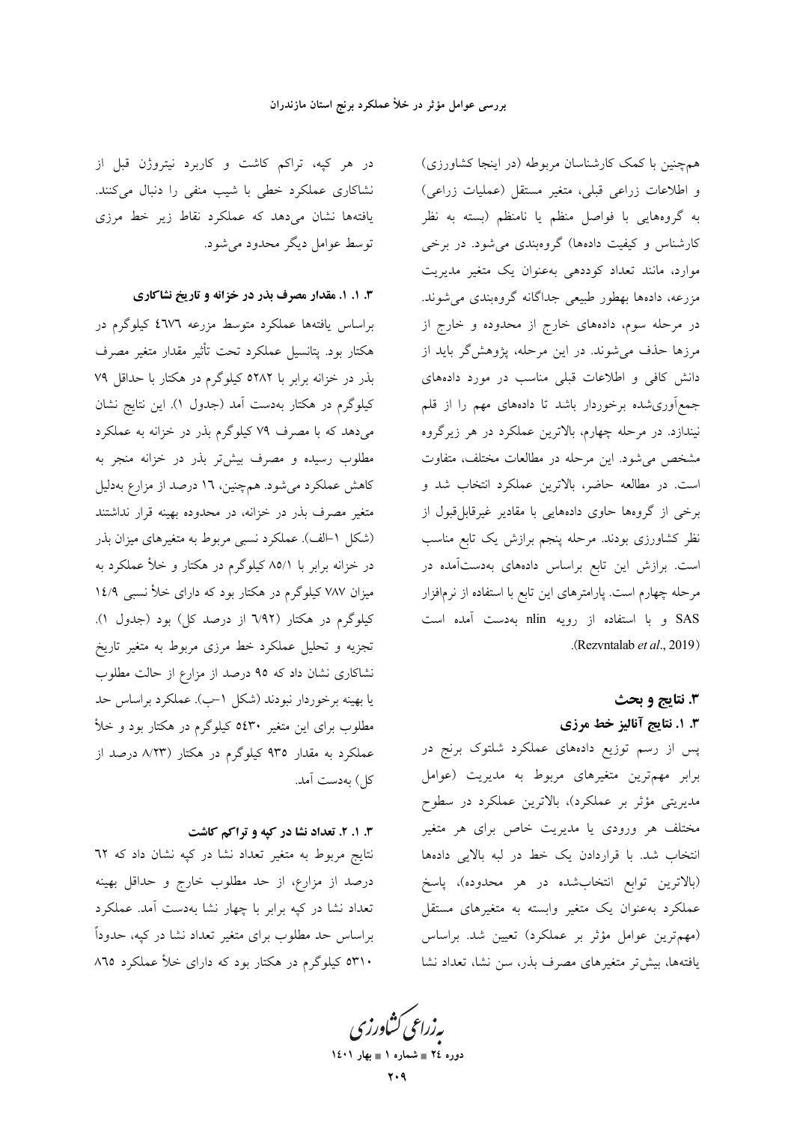در هر کپه، تراکم کاشت و کاربرد نیتروژن قبل از نشاکاری عملکرد خطی با شیب منفی را دنبال میکنند. یافتهها نشان میدهد که عملکرد نقاط زیر خط مرزی توسط عوامل دیگر محدود می شود.

**۳. ۱. ۱. مقدار مصرف بذر در خزانه و تاریخ نشاکاری** 

براساس یافتهها عملکرد متوسط مزرعه ٤٦٧٦ کیلوگرم در هكتار بود. پتانسيل عملكرد تحت تأثير مقدار متغير مصرف بذر در خزانه برابر با ٥٢٨٢ كيلوگرم در هكتار با حداقل ٧٩ کیلوگرم در هکتار بهدست آمد (جدول ۱). این نتایج نشان می دهد که با مصرف ۷۹ کیلوگرم بذر در خزانه به عملکرد مطلوب رسیده و مصرف بیش تر بذر در خزانه منجر به کاهش عملکرد میشود. همچنین، ۱۶ درصد از مزارع بهدلیل متغیر مصرف بذر در خزانه، در محدوده بهینه قرار نداشتند (شکل ١-الف). عملکرد نسبي مربوط به متغيرهاي ميزان بذر در خزانه برابر با ۸۵/۱ کیلوگرم در هکتار و خلأ عملکرد به میزان ۷۸۷ کیلوگرم در هکتار بود که دارای خلأ نسبی ۱٤/۹ کیلوگرم در هکتار (٦/٩٢ از درصد کل) بود (جدول ١). تجزیه و تحلیل عملکرد خط مرزی مربوط به متغیر تاریخ نشاکاری نشان داد که ۹۵ درصد از مزارع از حالت مطلوب یا بهینه برخوردار نبودند (شکل ۱–ب). عملکرد براساس حد مطلوب برای این متغیر ۵٤٣۰ کیلوگرم در هکتار بود و خلأ عملکرد به مقدار ۹۳۵ کیلوگرم در هکتار (۸/۲۳ درصد از كل) بەدست آمد.

### ۰. ۱. ۲. تعداد نشا در کیه و تراکم کاشت

نتايج مربوط به متغير تعداد نشا در كپه نشان داد كه ٦٢ درصد از مزارع، از حد مطلوب خارج و حداقل بهينه تعداد نشا در کپه برابر با چهار نشا بهدست آمد. عملکرد براساس حد مطلوب برای متغیر تعداد نشا در کپه، حدوداً ٥٣١٠ کیلوگرم در هکتار بود که دارای خلأ عملکرد ٨٦٥

همچنین با کمک کارشناسان مربوطه (در اینجا کشاورزی) و اطلاعات زراعی قبلی، متغیر مستقل (عملیات زراعی) به گروههایی با فواصل منظم یا نامنظم (بسته به نظر کارشناس و کیفیت دادهها) گروهبندی می شود. در برخی موارد، مانند تعداد کوددهی بهعنوان یک متغیر مدیریت مزرعه، دادهها بهطور طبیعی جداگانه گروهبندی می شوند. در مرحله سوم، دادههای خارج از محدوده و خارج از مرزها حذف می شوند. در این مرحله، پژوهشگر باید از دانش کافی و اطلاعات قبلی مناسب در مورد دادههای جمعهآوریشده برخوردار باشد تا دادههای مهم را از قلم نیندازد. در مرحله چهارم، بالاترین عملکرد در هر زیرگروه مشخص می شود. این مرحله در مطالعات مختلف، متفاوت است. در مطالعه حاضر، بالاترین عملکرد انتخاب شد و برخی از گروهها حاوی دادههایی با مقادیر غیرقابل قبول از نظر کشاورزی بودند. مرحله پنجم برازش یک تابع مناسب است. برازش این تابع براساس دادههای بهدستآمده در مرحله چهارم است. پارامترهای این تابع با استفاده از نرمافزار SAS و با استفاده از رویه nlin بهدست آمده است .(Rezvntalab et al., 2019).

# 3. نتايج و بحث ۰. ۱. نتایج آنالیز خط مرزی

پس از رسم توزیع دادههای عملکرد شلتوک برنج در برابر مهمترین متغیرهای مربوط به مدیریت (عوامل مدیریتی مؤثر بر عملکرد)، بالاترین عملکرد در سطوح مختلف هر ورودی یا مدیریت خاص برای هر متغیر انتخاب شد. با قراردادن یک خط در لبه بالایی دادهها (بالاترين توابع انتخاب شده در هر محدوده)، پاسخ عملکرد بهعنوان یک متغیر وابسته به متغیرهای مستقل (مهم ترین عوامل مؤثر بر عملکرد) تعیین شد. براساس یافتهها، بیش تر متغیرهای مصرف بذر، سن نشا، تعداد نشا

بەزراعى كشاورز دوره ٢٤ = شماره ١ = بهار ١٤٠١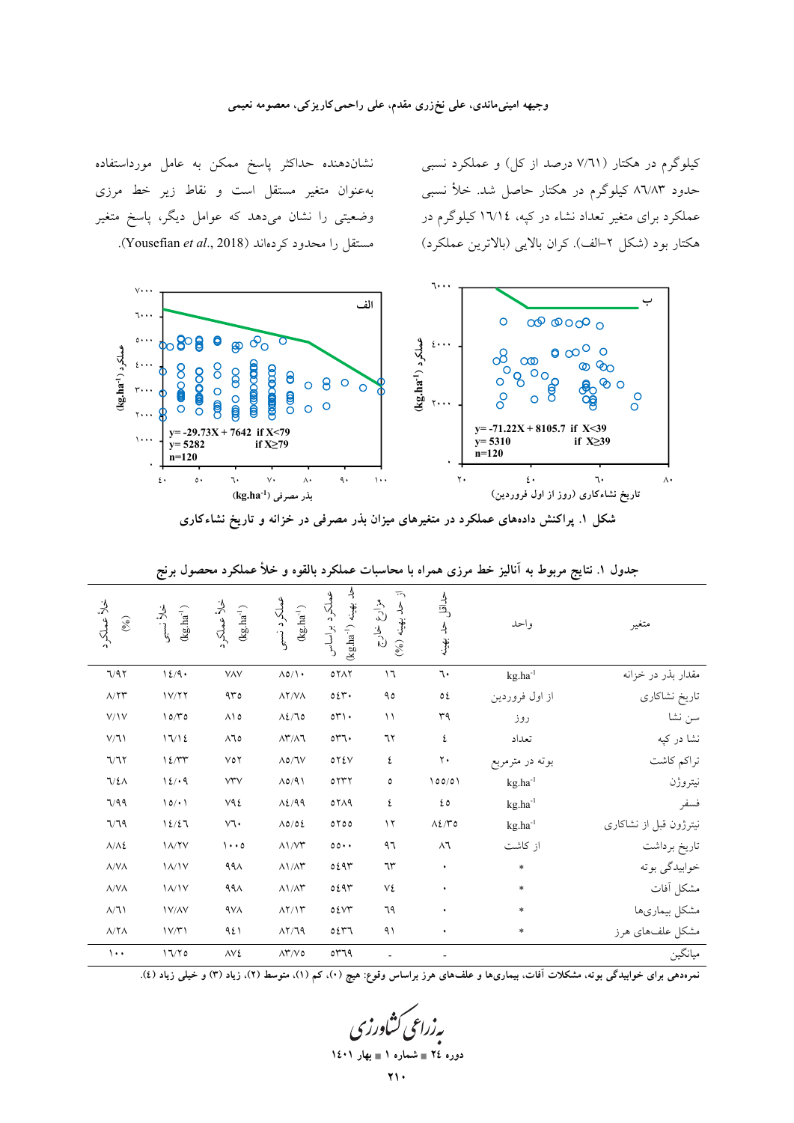#### وجیهه امینیماندی، علی نخزری مقدم، علی راحمی کاریزکی، معصومه نعیمی

نشاندهنده حداکثر پاسخ ممکن به عامل مورداستفاده بهعنوان متغیر مستقل است و نقاط زیر خط مرزی وضعیتی را نشان میدهد که عوامل دیگر، پاسخ متغیر . مستقل را محدود كردهاند (Yousefian et al., 2018).

کیلوگرم در هکتار (۷/٦۱ درصد از کل) و عملکرد نسبی حدود ۸٦/۸۳ کیلوگرم در هکتار حاصل شد. خلأ نسبی عملکرد برای متغیر تعداد نشاء در کپه، ۱۳/۱٤ کیلوگرم در هکتار بود (شکل ۲–الف). کران بالایی (بالاترین عملکرد)



شکل ۱. پراکنش دادههای عملکرد در متغیرهای میزان بذر مصرفی در خزانه و تاریخ نشاءکاری

| خلأ عملكرد<br>$(9/6)$       | $(\mathrm{kg}.\mathrm{ha}^{-1})$<br>خلأ نسبى | خلأ عملكرد<br>$(kg.ha^{-1})$                          | عملكرد نسبى<br>$(kg.\mathrm{ha}^{-1})$ | حد بهینه ('kg.ha<br>عملكرد براساس | $\overline{\cdot}$<br>مزارع<br>حد بھینه (%)<br>ان<br>رح | كىداقل<br>حد بھینه | واحد            | متغير                  |
|-----------------------------|----------------------------------------------|-------------------------------------------------------|----------------------------------------|-----------------------------------|---------------------------------------------------------|--------------------|-----------------|------------------------|
| 7/97                        | 12/9                                         | VAV                                                   | $\Lambda$ o/ $\Lambda$ .               | 0 YAY                             | ۱٦                                                      | ٦.                 | $kg.ha^{-1}$    | مقدار بذر در خزانه     |
| $\Lambda/\Upsilon\Upsilon$  | 1V/Y                                         | 4r                                                    | $\lambda$ Y/V $\Lambda$                | 0.54                              | ٩٥                                                      | ٥٤                 | از اول فروردين  | تاريخ نشاكاري          |
| V/Y                         | 10/T0                                        | $\wedge \wedge \circ$                                 | $\Lambda$ {/lo                         | $0^{\circ}$                       | $\setminus$                                             | ٣٩                 | روز             | سن نشا                 |
| $V/\mathbb{I}$              | 17/12                                        | $\wedge\hspace{-0.15cm}\uparrow\hspace{-0.15cm}\circ$ | $\Lambda \Upsilon / \Lambda$           | $\circ$ ۳٦.                       | ٦٢                                                      | ٤                  | تعداد           | نشا در کپه             |
| 7/77                        | 12/TT                                        | $V$ ٥٢                                                | $\Lambda$ ٥/٦٧                         | $0Y\Sigma V$                      | ٤                                                       | ٢.                 | بوته در مترمربع | تراكم كاشت             |
| 7/2A                        | 12/19                                        | $\lor\!\!\uparrow\!\!\uparrow\!\!\lor$                | $\Lambda$ 0/91                         | 0777                              | ٥                                                       | 100/01             | $kg.ha^{-1}$    | نيتروژن                |
| 7/99                        | 10/11                                        | V٩٤                                                   | $\Lambda$ <i>2</i> /99                 | 0719                              | ٤                                                       | ه ٤                | $kg.ha^{-1}$    | فسفر                   |
| 7/79                        | 12/27                                        | $\vee\uparrow\uparrow$                                | $\Lambda$ 0/02                         | 0700                              | $\gamma$                                                | $\Lambda$ ٤/٣٥     | $kg.ha^{-1}$    | نیترژون قبل از نشاکاری |
| $\Lambda/\Lambda$ 2         | $\lambda/\gamma$                             | $\cdots$                                              | $\Lambda$ \/ $\Upsilon$                | $00 \cdot \cdot$                  | ۹٦                                                      | $\wedge$ 1         | از كاشت         | تاريخ برداشت           |
| $\Lambda/\mathrm{V}\Lambda$ | $\Lambda/\Lambda V$                          | 991                                                   | $\Lambda$ \ /<br>$\Lambda\Upsilon$     | ٥٤٩٣                              | ٦٣                                                      | $\bullet$          | $\ast$          | خوابيدگي بوته          |
| $\Lambda/\mathrm{V}\Lambda$ | $\lambda/\nu$                                | 991                                                   | $\Lambda$ \ /<br>$\Lambda\Upsilon$     | ٥٤٩٣                              | ٧٤                                                      | ٠                  | $\ast$          | مشكل أفات              |
| $\Lambda/\mathbb{I}$        | <b>IV/AV</b>                                 | <b>AVA</b>                                            | $\Lambda$ Y/ $\Upsilon$                | 05YY                              | ٦٩                                                      | ٠                  | $\ast$          | مشكل بيمارىها          |
| $\Lambda/\Upsilon\Lambda$   | 1V/Y1                                        | 921                                                   | AY/79                                  | ٥٤٣٦                              | ۹۱                                                      | ٠                  | $\ast$          | مشکل علفهای هرز        |
| $\cdots$                    | $17/70$                                      | $\wedge \vee \mathcal{E}$                             | $\Lambda\Upsilon/V$ 0                  | ٥٣٦٩                              |                                                         |                    |                 | ميانگين                |

جدول ۱. نتایج مربوط به آنالیز خط مرزی همراه با محاسبات عملکرد بالقوه و خلأ عملکرد محصول برنج

نمرهدهی برای خوابیدگی بوته، مشکلات آفات، بیماریها و علفهای هرز براساس وقوع: هیچ (۰)، کم (۱)، متوسط (۲)، زیاد (۳) و خیلی زیاد (٤).

دوره ٢٤ = شماره ١ = بهار ١٤٠١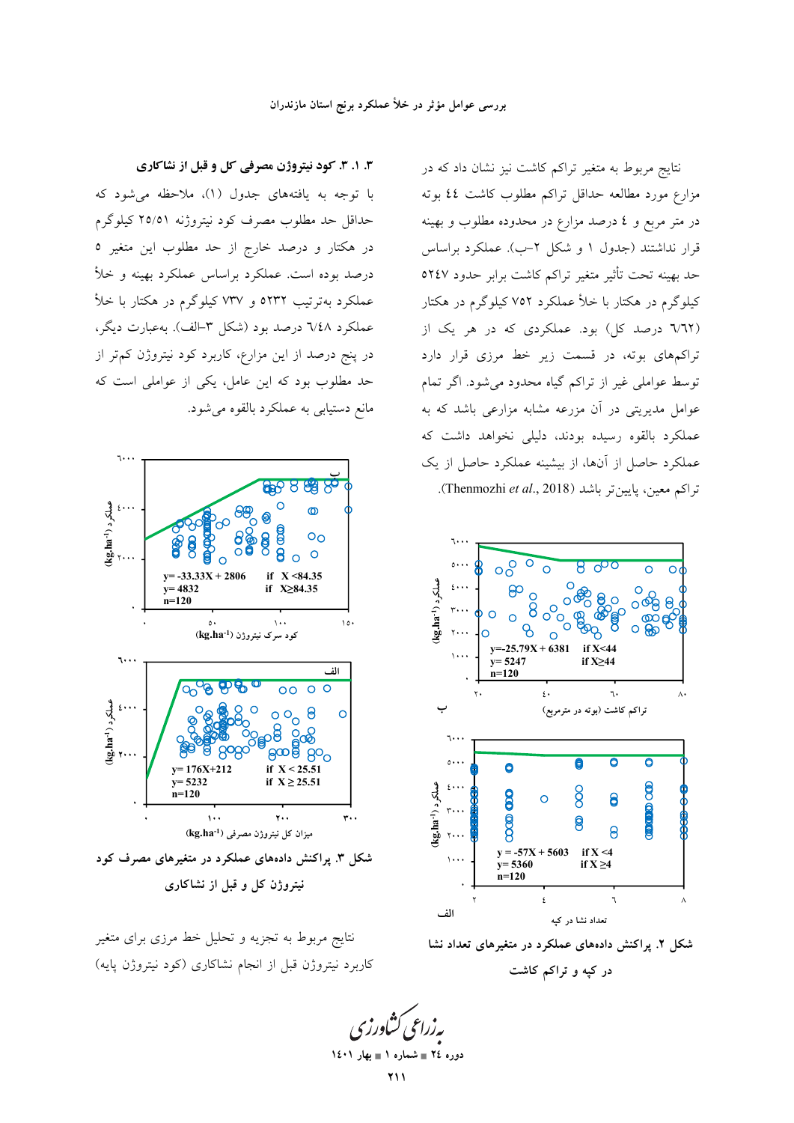### بررسی عوامل مؤثر در خلأ عملکرد برنج استان مازندران

نتایج مربوط به متغیر تراکم کاشت نیز نشان داد که در مزارع مورد مطالعه حداقل تراكم مطلوب كاشت ٤٤ بوته در متر مربع و ٤ درصد مزارع در محدوده مطلوب و بهينه قرار نداشتند (جدول ۱ و شکل ۲–ب). عملکرد براساس حد بهينه تحت تأثير متغير تراكم كاشت برابر حدود ٥٢٤٧ کیلوگرم در هکتار با خلأ عملکرد ۷۵۲ کیلوگرم در هکتار (٦/٦٢ درصد کل) بود. عملکردی که در هر یک از تراکمهای بوته، در قسمت زیر خط مرزی قرار دارد توسط عواملی غیر از تراکم گیاه محدود می شود. اگر تمام عوامل مدیریتی در آن مزرعه مشابه مزارعی باشد که به عملکرد بالقوه رسیده بودند، دلیلی نخواهد داشت که عملکرد حاصل از آنها، از بیشینه عملکرد حاصل از یک تراكم معين، يايين تر باشد (Thenmozhi et al., 2018).



شکل ۲. پراکنش دادههای عملکرد در متغیرهای تعداد نشا

در کیه و تراکم کاشت

۳. ۱. ۳. کود نیتروژن مصرفی کل و قبل از نشاکاری با توجه به یافتههای جدول (۱)، ملاحظه می شود که حداقل حد مطلوب مصرف کود نیتروژنه ۲٥/٥١ کیلوگرم در هکتار و درصد خارج از حد مطلوب این متغیر ٥ درصد بوده است. عملکرد براساس عملکرد بهینه و خلأ عملکرد بهترتیب ٥٢٣٢ و ٧٣٧ کیلوگرم در هکتار با خلأ عملکرد ٦/٤٨ درصد بود (شکل ٣-الف). بهعبارت ديگر، در پنج درصد از این مزارع، کاربرد کود نیتروژن کم تر از حد مطلوب بود که این عامل، یکی از عواملی است که مانع دستیابی به عملکرد بالقوه می شود.



نیتروژن کل و قبل از نشاکاری

نتایج مربوط به تجزیه و تحلیل خط مرزی برای متغیر کاربرد نیتروژن قبل از انجام نشاکاری (کود نیتروژن پایه)

دوره ٢٤ = شماره ١ = بهار ١٤٠١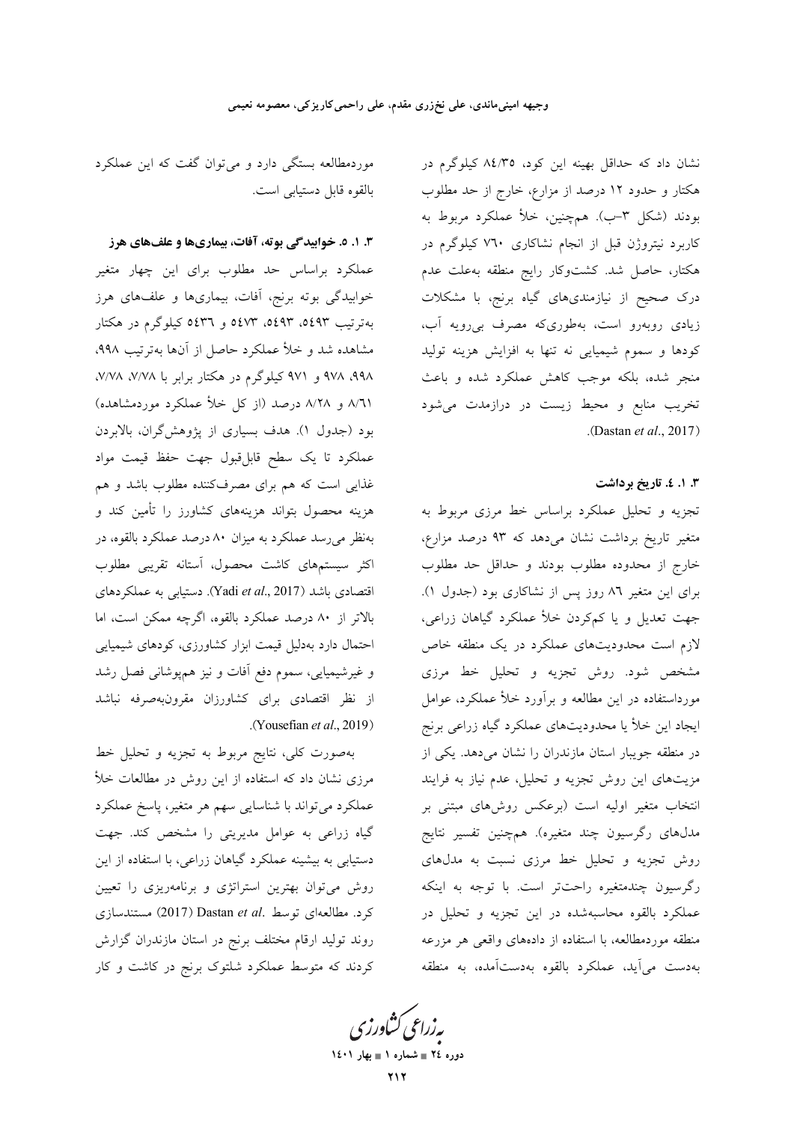موردمطالعه بستگی دارد و میتوان گفت که این عملکرد بالقوه قابل دستيابي است.

۳. ۱. ۵. خوابیدگی بوته، آفات، بیماریها و علفهای هرز عملکرد براساس حد مطلوب برای این چهار متغیر خوابیدگی بوته برنج، آفات، بیماریها و علفهای هرز بهترتیب ٥٤٩٣، ٥٤٩٣، ٥٤٧٣ و ٥٤٣٦ کیلوگرم در هکتار مشاهده شد و خلأ عملكرد حاصل از آنها بهترتيب ٩٩٨، ۹۹۸، ۹۷۸ و ۹۷۱ کیلوگرم در هکتار برابر با ۷/۷۸، ۷/۷۸، ٨/٦١ و ٨/٢٨ درصد (از کل خلأ عملکرد موردمشاهده) بود (جدول ۱). هدف بسیاری از پژوهشگران، بالابردن عملكرد تا يك سطح قابل،قبول جهت حفظ قيمت مواد غذایی است که هم برای مصرفکننده مطلوب باشد و هم هزینه محصول بتواند هزینههای کشاورز را تأمین کند و بهنظر می رسد عملکرد به میزان ۸۰ درصد عملکرد بالقوه، در اکثر سیستمهای کاشت محصول، آستانه تقریبی مطلوب اقتصادی باشد (Yadi et al., 2017). دستیابی به عملکردهای بالاتر از ۸۰ درصد عملکرد بالقوه، اگرچه ممکن است، اما احتمال دارد بهدلیل قیمت ابزار کشاورزی، کودهای شیمیایی و غیرشیمیایی، سموم دفع آفات و نیز همپوشانی فصل رشد از نظر اقتصادی برای کشاورزان مقرونبهصرفه نباشد .(Yousefian et al., 2019).

بهصورت كلي، نتايج مربوط به تجزيه و تحليل خط مرزی نشان داد که استفاده از این روش در مطالعات خلأ عملکرد میتواند با شناسایی سهم هر متغیر، پاسخ عملکرد گیاه زراعی به عوامل مدیریتی را مشخص کند. جهت دستیابی به بیشینه عملکرد گیاهان زراعی، با استفاده از این روش می توان بهترین استراتژی و برنامهریزی را تعیین كرد. مطالعهاى توسط .Dastan et al (2017) مستندسازى روند تولید ارقام مختلف برنج در استان مازندران گزارش کردند که متوسط عملکرد شلتوک برنج در کاشت و کار نشان داد که حداقل بهینه این کود، ۸٤/۳٥ کیلوگرم در هکتار و حدود ۱۲ درصد از مزارع، خارج از حد مطلوب بودند (شکل ۳–ب). همچنین، خلأ عملکرد مربوط به کاربرد نیتروژن قبل از انجام نشاکاری ۷٦٠ کیلوگرم در هکتار، حاصل شد. کشتوکار رایج منطقه بهعلت عدم درک صحیح از نیازمندیهای گیاه برنج، با مشکلات زیادی روبهرو است، بهطوریکه مصرف بی رویه آب، کودها و سموم شیمیایی نه تنها به افزایش هزینه تولید منجر شده، بلکه موجب کاهش عملکرد شده و باعث تخریب منابع و محیط زیست در درازمدت میشود .(Dastan et al., 2017)

#### 3. ۱. ٤. تاريخ برداشت

تجزیه و تحلیل عملکرد براساس خط مرزی مربوط به متغیر تاریخ برداشت نشان میدهد که ۹۳ درصد مزارع، خارج از محدوده مطلوب بودند و حداقل حد مطلوب برای این متغیر ۸٦ روز پس از نشاکاری بود (جدول ۱). جهت تعدیل و یا کم کردن خلأ عملکرد گیاهان زراعی، لازم است محدودیتهای عملکرد در یک منطقه خاص مشخص شود. روش تجزیه و تحلیل خط مرزی مورداستفاده در این مطالعه و برآورد خلأ عملکرد، عوامل ایجاد این خلأ یا محدودیتهای عملکرد گیاه زراعی برنج در منطقه جویبار استان مازندران را نشان میدهد. یکی از مزیتهای این روش تجزیه و تحلیل، عدم نیاز به فرایند انتخاب متغیر اولیه است (برعکس روشهای مبتنی بر مدلهای رگرسیون چند متغیره). همچنین تفسیر نتایج روش تجزیه و تحلیل خط مرزی نسبت به مدلهای رگرسیون چندمتغیره راحتتر است. با توجه به اینکه عملکرد بالقوه محاسبهشده در این تجزیه و تحلیل در منطقه موردمطالعه، با استفاده از دادههای واقعی هر مزرعه بهدست می آید، عملکرد بالقوه بهدستآمده، به منطقه

بەزراعى ڭشاورزى دوره ٢٤ = شماره ١ = بهار ١٤٠١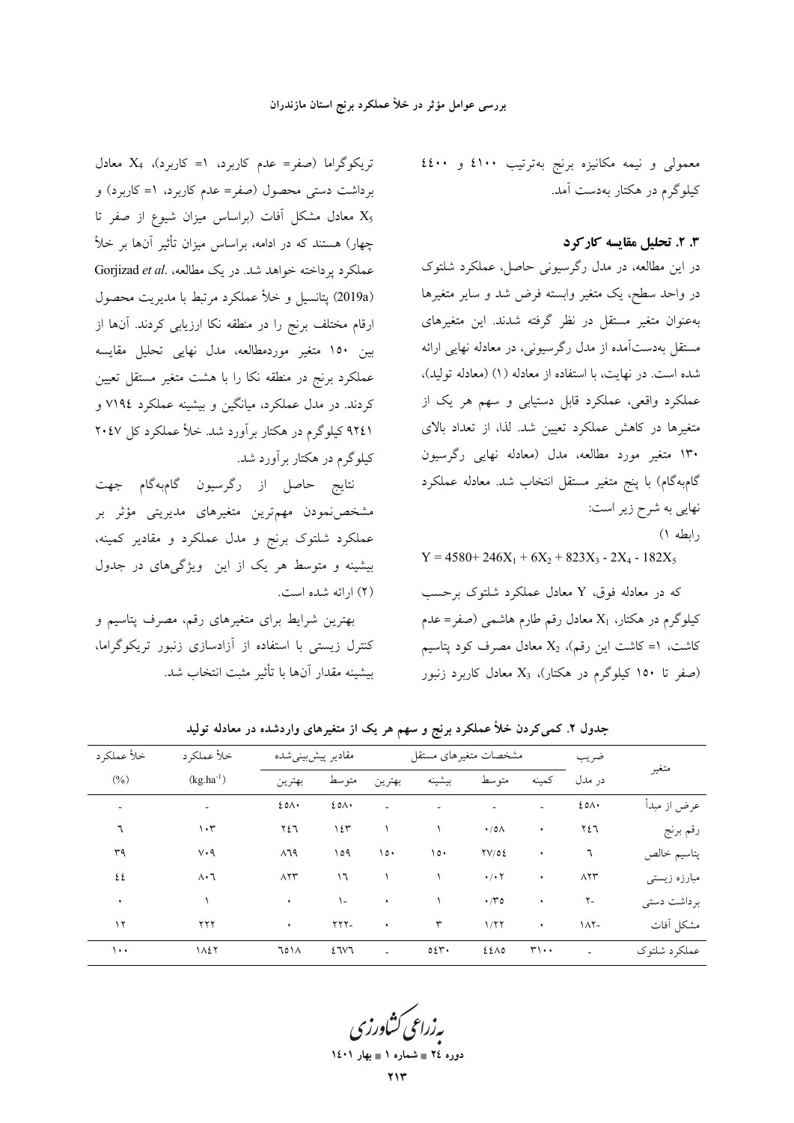معمولی و نیمه مکانیزه برنج بهترتیب ٤١٠٠ و ٤٤٠٠ کیلوگرم در هکتار بهدست آمد.

# ۴. ۲. تحلیل مقایسه کارکرد

در این مطالعه، در مدل رگرسیونی حاصل، عملکرد شلتوک در واحد سطح، یک متغیر وابسته فرض شد و سایر متغیرها بهعنوان متغیر مستقل در نظر گرفته شدند. این متغیرهای مستقل بهدستآمده از مدل رگرسیونی، در معادله نهایی ارائه شده است. در نهایت، با استفاده از معادله (١) (معادله تولید)، عملکرد واقعی، عملکرد قابل دستیابی و سهم هر یک از متغیرها در کاهش عملکرد تعیین شد. لذا، از تعداد بالای ۱۳۰ متغیر مورد مطالعه، مدل (معادله نهایی رگرسیون گامبهگام) با پنج متغیر مستقل انتخاب شد. معادله عملکرد نهایی به شرح زیر است:  $($ ابطه ۱)

 $Y = 4580 + 246X_1 + 6X_2 + 823X_3 - 2X_4 - 182X_5$ 

که در معادله فوق، Y معادل عملکرد شلتوک برحسب کیلوگرم در هکتار،  $X_1$  معادل رقم طارم هاشمی (صفر= عدم کاشت، ۱= کاشت این رقم)،  $X_2$  معادل مصرف کود پتاسیم (صفر تا ۱۵۰ کیلوگرم در هکتار)، X<sub>3</sub> معادل کاربرد زنبور

تریکوگراما (صفر= عدم کاربرد، ۱= کاربرد)، X4 معادل برداشت دستی محصول (صفر= عدم کاربرد، ۱= کاربرد) و معادل مشکل آفات (براساس میزان شیوع از صفر تا  $X_5$ چهار) هستند که در ادامه، براساس میزان تأثیر آنها بر خلأ Gorjizad et al. مطالعه، Gorjizad et al. مطالعه (2019a) پتانسیل و خلأ عملکرد مرتبط با مدیریت محصول ارقام مختلف برنج را در منطقه نکا ارزیابی کردند. آنها از بین ۱۵۰ متغیر موردمطالعه، مدل نهایی تحلیل مقایسه عملکرد برنج در منطقه نکا را با هشت متغیر مستقل تعیین کردند. در مدل عملکرد، میانگین و بیشینه عملکرد ۷۱۹٤ و ۹۲٤۱ کیلوگرم در هکتار برآورد شد. خلأ عملکرد کل ۲۰٤۷ کیلوگرم در هکتار برآورد شد.

نتايج حاصل از رگرسيون گامبهگام جهت مشخصنمودن مهمترین متغیرهای مدیریتی مؤثر بر عملکرد شلتوک برنج و مدل عملکرد و مقادیر کمینه، بیشینه و متوسط هر یک از این ویژگیهای در جدول (۲) ارائه شده است.

بهترین شرایط برای متغیرهای رقم، مصرف پتاسیم و کنترل زیستی با استفاده از آزادسازی زنبور تریکوگراما، بيشينه مقدار آنها با تأثير مثبت انتخاب شد.

| خلأ عملكرد | خلأ عملكرد               | مقادير پيشبينيشده |             | مشخصات متغيرهاي مستقل |                |                           |                             | ضريب        |              |  |  |
|------------|--------------------------|-------------------|-------------|-----------------------|----------------|---------------------------|-----------------------------|-------------|--------------|--|--|
| $(\%)$     | $(kg.ha^{-1})$           | بهترين            | متوسط       | بهترين                | بيشينه         | متوسط                     | كمىنە                       | در مدل      | متغير        |  |  |
| ٠          | $\overline{\phantom{a}}$ | $20\Lambda$       | $20\Lambda$ | $\overline{a}$        | $\blacksquare$ |                           |                             | $20\Lambda$ | عرض از مبدأ  |  |  |
| ٦          | $\cdot$ ۳                | ٢٤٦               | ۱٤٣         |                       |                | $\cdot$ /0 $\wedge$       | ٠                           | ٢٤٦         | رقم برنج     |  |  |
| ٣٩         | ۷۰۹                      | ۸٦٩               | ۱٥۹         | $\circ \cdot$         | ۱٥٠            | TV/OE                     | ٠                           | ٦           | پتاسيم خالص  |  |  |
| ٤٤         | $\Lambda \cdot 7$        | $\Lambda$         | ۱٦          |                       |                | $\cdot$ / $\cdot$ $\cdot$ | ٠                           | $\Lambda$   | مبارزه زیستی |  |  |
| ٠          |                          | ٠                 | ۱-          | ٠                     |                | $\cdot$ / $\sim$ 0        | ٠                           | $Y -$       | بر داشت دستی |  |  |
| ۱۲         | ۲۲۲                      | ٠                 | $YYY-$      | ٠                     | ٣              | 1/77                      | $\bullet$                   | $11 -$      | مشكل أفات    |  |  |
| $\cdots$   | 1127                     | ٦٥١٨              | 27V7        | $\overline{a}$        | 0.24           | ٤٤٨٥                      | $\mathbf{r}\cdot\mathbf{.}$ | $\sim$      | عملكرد شلتوك |  |  |
|            |                          |                   |             |                       |                |                           |                             |             |              |  |  |

جدول ۲. کمی کردن خلأ عملکرد برنج و سهم هر یک از متغیرهای واردشده در معادله تولید

دوره ٢٤ = شماره ١ = بهار ١٤٠١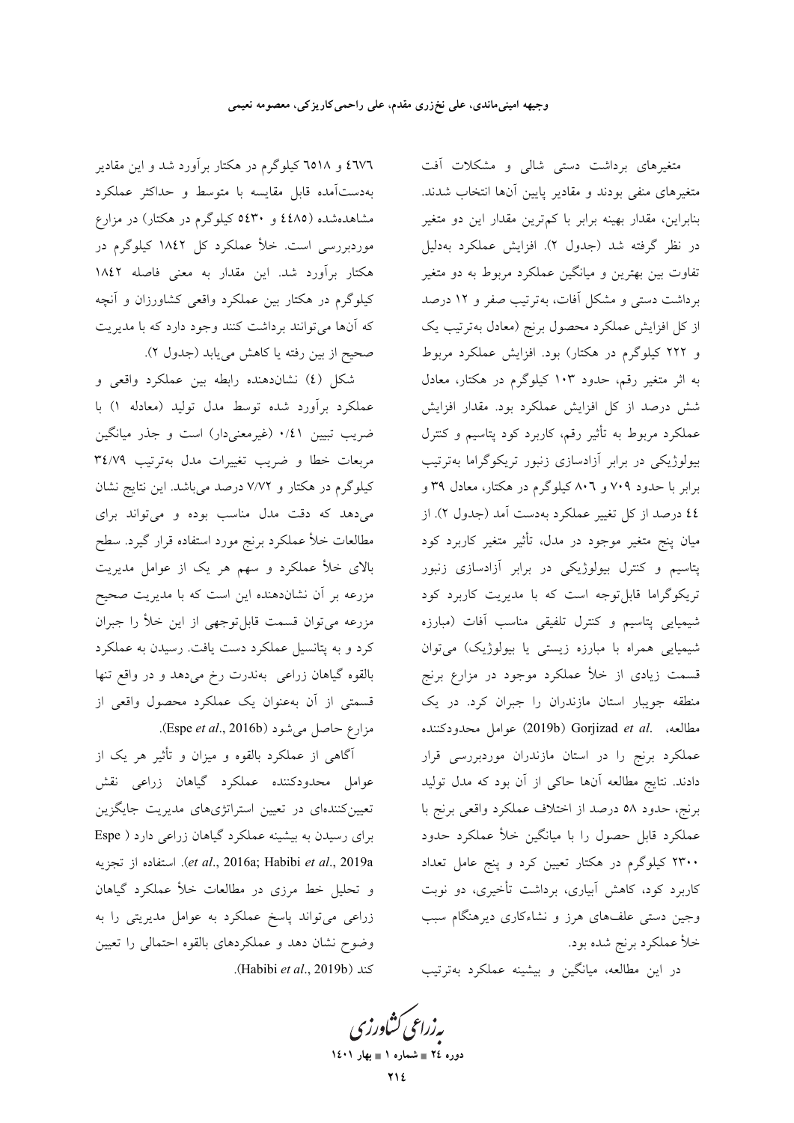**۱**۵۱۸ و ۹۵۱۸ کیلوگرم در هکتار برآورد شد و این مقادیر بهدستآمده قابل مقايسه با متوسط و حداكثر عملكرد مشاهدهشده (٤٤٨٥ و ٤٤٣٠ کيلوگرم در هکتار) در مزارع موردبررسی است. خلأ عملکرد کل ۱۸٤۲ کیلوگرم در هكتار برآورد شد. اين مقدار به معنى فاصله ١٨٤٢ کیلوگرم در هکتار بین عملکرد واقعی کشاورزان و آنچه که آنها میتوانند برداشت کنند وجود دارد که با مدیریت صحيح از بين رفته يا كاهش مي يابد (جدول ٢).

شکل (٤) نشاندهنده رابطه بين عملکرد واقعي و عملکرد برآورد شده توسط مدل تولید (معادله ۱) با ضریب تبیین ۰/٤۱ (غیرمعنیدار) است و جذر میانگین مربعات خطا و ضريب تغييرات مدل بهترتيب ٣٤/٧٩ کیلوگرم در هکتار و ۷/۷۲ درصد میباشد. این نتایج نشان میدهد که دقت مدل مناسب بوده و میتواند برای مطالعات خلأ عملكرد برنج مورد استفاده قرار گيرد. سطح بالای خلأ عملکرد و سهم هر یک از عوامل مدیریت مزرعه بر آن نشاندهنده این است که با مدیریت صحیح مزرعه می توان قسمت قابل توجهی از این خلأ را جبران کرد و به پتانسیل عملکرد دست یافت. رسیدن به عملکرد بالقوه گیاهان زراعی بهندرت رخ میدهد و در واقع تنها قسمتی از آن بهعنوان یک عملکرد محصول واقعی از مزارع حاصل می شود (Espe et al., 2016b).

آگاهی از عملکرد بالقوه و میزان و تأثیر هر یک از عوامل محدودکننده عملکرد گیاهان زراعی نقش تعیین کنندهای در تعیین استراتژیهای مدیریت جایگزین برای رسیدن به بیشینه عملکرد گیاهان زراعی دارد ( Espe et al., 2016a; Habibi et al., 2019a). استفاده از تجزيه و تحلیل خط مرزی در مطالعات خلأ عملکرد گیاهان زراعی می تواند پاسخ عملکرد به عوامل مدیریتی را به وضوح نشان دهد و عملکردهای بالقوه احتمالی را تعیین .(Habibi et al., 2019b).

متغیرهای برداشت دستی شالی و مشکلات آفت متغیرهای منفی بودند و مقادیر پایین آنها انتخاب شدند. بنابراین، مقدار بهینه برابر با کم ترین مقدار این دو متغیر در نظر گرفته شد (جدول ۲). افزایش عملکرد بهدلیل تفاوت بین بهترین و میانگین عملکرد مربوط به دو متغیر برداشت دستی و مشکل آفات، به ترتیب صفر و ۱۲ درصد از کل افزایش عملکرد محصول برنج (معادل بهترتیب یک و ۲۲۲ کیلوگرم در هکتار) بود. افزایش عملکرد مربوط به اثر متغیر رقم، حدود ۱۰۳ کیلوگرم در هکتار، معادل شش درصد از کل افزایش عملکرد بود. مقدار افزایش عملکرد مربوط به تأثیر رقم، کاربرد کود پتاسیم و کنترل بیولوژیکی در برابر آزادسازی زنبور تریکوگراما بهترتیب برابر با حدود ۷۰۹ و ۸۰٦ کیلوگرم در هکتار، معادل ۳۹ و ٤٤ درصد از كل تغيير عملكرد بهدست آمد (جدول ٢). از میان پنج متغیر موجود در مدل، تأثیر متغیر کاربرد کود پتاسیم و کنترل بیولوژیکی در برابر آزادسازی زنبور تریکوگراما قابلتوجه است که با مدیریت کاربرد کود شیمیایی پتاسیم و کنترل تلفیقی مناسب آفات (مبارزه شیمیایی همراه با مبارزه زیستی یا بیولوژیک) میتوان قسمت زیادی از خلأ عملکرد موجود در مزارع برنج منطقه جویبار استان مازندران را جبران کرد. در یک مطالعه، .Gorjizad et al عوامل محدودكننده عملکرد برنج را در استان مازندران موردبررسی قرار دادند. نتایج مطالعه آنها حاکی از آن بود که مدل تولید برنج، حدود ٥٨ درصد از اختلاف عملكرد واقعى برنج با عملکرد قابل حصول را با میانگین خلأ عملکرد حدود ۲۳۰۰ کیلوگرم در هکتار تعیین کرد و پنج عامل تعداد کاربرد کود، کاهش آبیاری، برداشت تأخیری، دو نوبت وجین دستی علفهای هرز و نشاءکاری دیرهنگام سبب خلأ عملكرد برنج شده بود.

در این مطالعه، میانگین و بیشینه عملکرد بهترتیب

بەزراعى ڭشاورزى دوره ٢٤ = شماره ١ = بهار ١٤٠١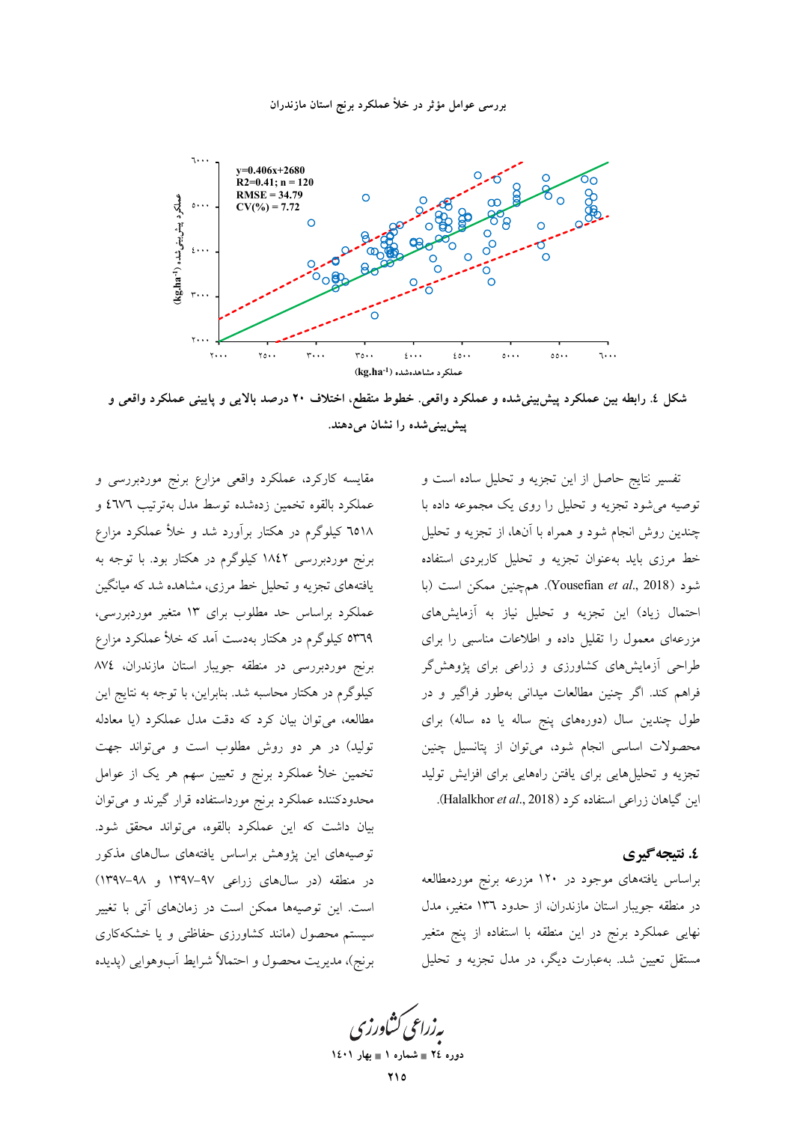

شکل ٤. رابطه بین عملکرد پیش بینیشده و عملکرد واقعی. خطوط منقطع، اختلاف ٢٠ درصد بالایی و پایینی عملکرد واقعی و ییش بینی شده را نشان می دهند.

تفسیر نتایج حاصل از این تجزیه و تحلیل ساده است و توصیه می شود تجزیه و تحلیل را روی یک مجموعه داده با چندین روش انجام شود و همراه با آنها، از تجزیه و تحلیل خط مرزی باید بهعنوان تجزیه و تحلیل کاربردی استفاده شود (Yousefian et al., 2018). همچنین ممکن است (با احتمال زیاد) این تجزیه و تحلیل نیاز به آزمایشهای مزرعهای معمول را تقلیل داده و اطلاعات مناسبی را برای طراحی آزمایشهای کشاورزی و زراعی برای پژوهشگر فراهم كند. اگر چنين مطالعات ميداني بهطور فراگير و در طول چندین سال (دورههای پنج ساله یا ده ساله) برای محصولات اساسی انجام شود، میتوان از پتانسیل چنین تجزیه و تحلیل هایی برای یافتن راههایی برای افزایش تولید این گیاهان زراعی استفاده کرد (Halalkhor et al., 2018).

## ٤. نتىجەگىرى

براساس یافتههای موجود در ۱۲۰ مزرعه برنج موردمطالعه در منطقه جویبار استان مازندران، از حدود ١٣٦ متغیر، مدل نهایی عملکرد برنج در این منطقه با استفاده از پنج متغیر مستقل تعیین شد. بهعبارت دیگر، در مدل تجزیه و تحلیل

مقایسه کارکرد، عملکرد واقعی مزارع برنج موردبررسی و عملكرد بالقوه تخمين زدهشده توسط مدل بهترتيب ٤٦٧٦ و ٦٥١٨ كيلوگرم در هكتار برآورد شد و خلأ عملكرد مزارع برنج موردبررسی ۱۸٤۲ کیلوگرم در هکتار بود. با توجه به یافتههای تجزیه و تحلیل خط مرزی، مشاهده شد که میانگین عملکرد براساس حد مطلوب برای ۱۳ متغیر موردبررسی، **۵۳٦۹** کیلوگرم در هکتار بهدست آمد که خلأ عملکرد مزارع برنج موردبررسی در منطقه جویبار استان مازندران، ۸۷٤ کیلوگرم در هکتار محاسبه شد. بنابراین، با توجه به نتایج این مطالعه، میتوان بیان کرد که دقت مدل عملکرد (یا معادله تولید) در هر دو روش مطلوب است و میتواند جهت تخمین خلأ عملکرد برنج و تعیین سهم هر یک از عوامل محدودکننده عملکرد برنج مورداستفاده قرار گیرند و میتوان بيان داشت كه اين عملكرد بالقوه، مي تواند محقق شود. توصیههای این پژوهش براساس یافتههای سالهای مذکور در منطقه (در سالهای زراعی ۹۷-۱۳۹۷ و ۹۸-۱۳۹۷) است. این توصیهها ممکن است در زمانهای آتی با تغییر سیستم محصول (مانند کشاورزی حفاظتی و یا خشکهکاری برنج)، مديريت محصول و احتمالاً شرايط أبوهوايي (پديده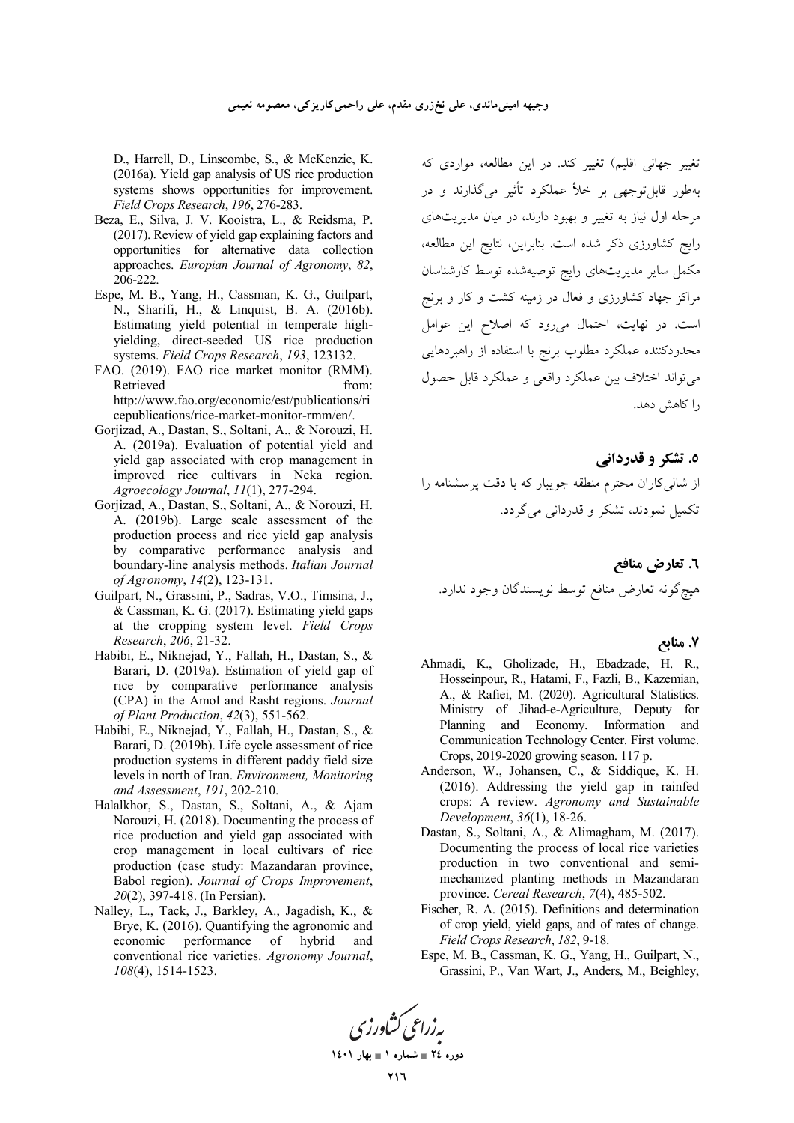D., Harrell, D., Linscombe, S., & McKenzie, K. (2016a). Yield gap analysis of US rice production systems shows opportunities for improvement. Field Crops Research, 196, 276-283.

- Beza, E., Silva, J. V. Kooistra, L., & Reidsma, P. (2017). Review of yield gap explaining factors and opportunities for alternative data collection approaches. Europian Journal of Agronomy, 82, 206-222.
- Espe, M. B., Yang, H., Cassman, K. G., Guilpart, N., Sharifi, H., & Linquist, B. A. (2016b). Estimating yield potential in temperate highyielding, direct-seeded US rice production systems. Field Crops Research, 193, 123132.
- FAO. (2019). FAO rice market monitor (RMM). Retrieved from: http://www.fao.org/economic/est/publications/ri cepublications/rice-market-monitor-rmm/en/.
- Gorjizad, A., Dastan, S., Soltani, A., & Norouzi, H. A. (2019a). Evaluation of potential yield and yield gap associated with crop management in improved rice cultivars in Neka region. Agroecology Journal, 11(1), 277-294.
- Gorjizad, A., Dastan, S., Soltani, A., & Norouzi, H. A. (2019b). Large scale assessment of the production process and rice yield gap analysis by comparative performance analysis and boundary-line analysis methods. Italian Journal of Agronomy, 14(2), 123-131.
- Guilpart, N., Grassini, P., Sadras, V.O., Timsina, J., & Cassman, K. G. (2017). Estimating yield gaps at the cropping system level. Field Crops Research, 206, 21-32.
- Habibi, E., Niknejad, Y., Fallah, H., Dastan, S., & Barari, D. (2019a). Estimation of yield gap of rice by comparative performance analysis (CPA) in the Amol and Rasht regions. Journal of Plant Production, 42(3), 551-562.
- Habibi, E., Niknejad, Y., Fallah, H., Dastan, S., & Barari, D. (2019b). Life cycle assessment of rice production systems in different paddy field size levels in north of Iran. Environment, Monitoring and Assessment, 191, 202-210.
- Halalkhor, S., Dastan, S., Soltani, A., & Ajam Norouzi, H. (2018). Documenting the process of rice production and yield gap associated with crop management in local cultivars of rice production (case study: Mazandaran province, Babol region). Journal of Crops Improvement, 20(2), 397-418. (In Persian).
- Nalley, L., Tack, J., Barkley, A., Jagadish, K., & Brye, K. (2016). Quantifying the agronomic and economic performance of hybrid and conventional rice varieties. Agronomy Journal, 108(4), 1514-1523.

تغییر جهانی اقلیم) تغییر کند. در این مطالعه، مواردی که .<br>بهطور قابل توجهي بر خلأ عملكرد تأثير ميگذارند و در مرحله اول نیاز به تغییر و بهبود دارند، در میان مدیریتهای رایج کشاورزی ذکر شده است. بنابراین، نتایج این مطالعه، مکمل سایر مدیریتهای رایج توصیهشده توسط کارشناسان مراکز جهاد کشاورزی و فعال در زمینه کشت و کار و برنج است. در نهایت، احتمال میررود که اصلاح این عوامل محدودکننده عملکرد مطلوب برنج با استفاده از راهبردهایی می تواند اختلاف بین عملکرد واقعی و عملکرد قابل حصول ۱٫ کاهش دهد.

٥. تشکر و قدردانی از شالی کاران محترم منطقه جویبار که با دقت پرسشنامه را تکمیل نمودند، تشکر و قدردانی میگردد.

٦. تعارض منافع هيچگونه تعارض منافع توسط نويسندگان وجود ندارد.

#### ۷. منابع

- Ahmadi, K., Gholizade, H., Ebadzade, H. R., Hosseinpour, R., Hatami, F., Fazli, B., Kazemian, A., & Rafiei, M. (2020). Agricultural Statistics. Ministry of Jihad-e-Agriculture, Deputy for Planning and Economy. Information and Communication Technology Center. First volume. Crops, 2019-2020 growing season. 117 p.
- Anderson, W., Johansen, C., & Siddique, K. H. (2016). Addressing the yield gap in rainfed crops: A review. Agronomy and Sustainable Development, 36(1), 18-26.
- Dastan, S., Soltani, A., & Alimagham, M. (2017). Documenting the process of local rice varieties production in two conventional and semimechanized planting methods in Mazandaran province. Cereal Research, 7(4), 485-502.
- Fischer, R. A. (2015). Definitions and determination of crop yield, yield gaps, and of rates of change. Field Crops Research, 182, 9-18.
- Espe, M. B., Cassman, K. G., Yang, H., Guilpart, N., Grassini, P., Van Wart, J., Anders, M., Beighley,

پەزراعى كشاورزى

دوره ٢٤ = شماره ١ = بهار ١٤٠١